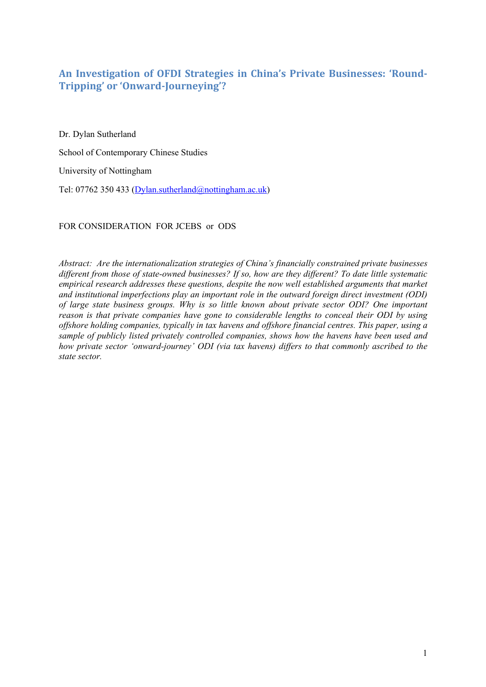## **An Investigation of OFDI Strategies in China's Private Businesses: 'Round-Tripping' or 'Onward-Journeying'?**

Dr. Dylan Sutherland School of Contemporary Chinese Studies University of Nottingham Tel: 07762 350 433 (Dylan.sutherland@nottingham.ac.uk)

FOR CONSIDERATION FOR JCEBS or ODS

*Abstract: Are the internationalization strategies of China's financially constrained private businesses different from those of state-owned businesses? If so, how are they different? To date little systematic empirical research addresses these questions, despite the now well established arguments that market and institutional imperfections play an important role in the outward foreign direct investment (ODI) of large state business groups. Why is so little known about private sector ODI? One important reason is that private companies have gone to considerable lengths to conceal their ODI by using offshore holding companies, typically in tax havens and offshore financial centres. This paper, using a sample of publicly listed privately controlled companies, shows how the havens have been used and how private sector 'onward-journey' ODI (via tax havens) differs to that commonly ascribed to the state sector.*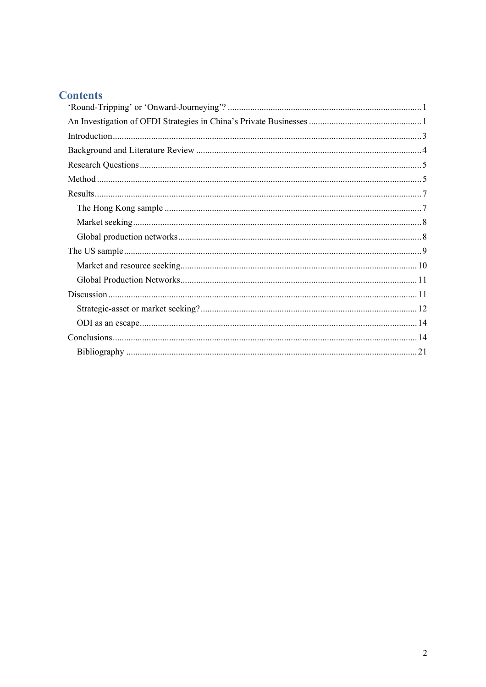# **Contents**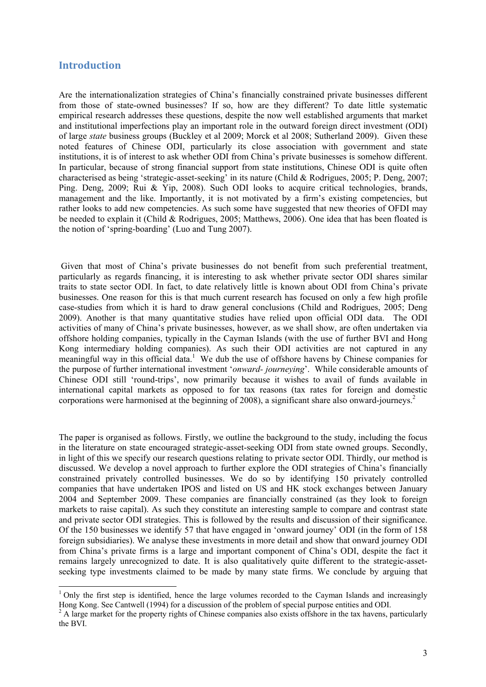### **Introduction**

l

Are the internationalization strategies of China's financially constrained private businesses different from those of state-owned businesses? If so, how are they different? To date little systematic empirical research addresses these questions, despite the now well established arguments that market and institutional imperfections play an important role in the outward foreign direct investment (ODI) of large *state* business groups (Buckley et al 2009; Morck et al 2008; Sutherland 2009). Given these noted features of Chinese ODI, particularly its close association with government and state institutions, it is of interest to ask whether ODI from China's private businesses is somehow different. In particular, because of strong financial support from state institutions, Chinese ODI is quite often characterised as being 'strategic-asset-seeking' in its nature (Child & Rodrigues, 2005; P. Deng, 2007; Ping. Deng, 2009; Rui & Yip, 2008). Such ODI looks to acquire critical technologies, brands, management and the like. Importantly, it is not motivated by a firm's existing competencies, but rather looks to add new competencies. As such some have suggested that new theories of OFDI may be needed to explain it (Child & Rodrigues, 2005; Matthews, 2006). One idea that has been floated is the notion of 'spring-boarding' (Luo and Tung 2007).

 Given that most of China's private businesses do not benefit from such preferential treatment, particularly as regards financing, it is interesting to ask whether private sector ODI shares similar traits to state sector ODI. In fact, to date relatively little is known about ODI from China's private businesses. One reason for this is that much current research has focused on only a few high profile case-studies from which it is hard to draw general conclusions (Child and Rodrigues, 2005; Deng 2009). Another is that many quantitative studies have relied upon official ODI data. The ODI activities of many of China's private businesses, however, as we shall show, are often undertaken via offshore holding companies, typically in the Cayman Islands (with the use of further BVI and Hong Kong intermediary holding companies). As such their ODI activities are not captured in any meaningful way in this official data.<sup>1</sup> We dub the use of offshore havens by Chinese companies for the purpose of further international investment '*onward- journeying*'. While considerable amounts of Chinese ODI still 'round-trips', now primarily because it wishes to avail of funds available in international capital markets as opposed to for tax reasons (tax rates for foreign and domestic corporations were harmonised at the beginning of 2008), a significant share also onward-journeys.2

The paper is organised as follows. Firstly, we outline the background to the study, including the focus in the literature on state encouraged strategic-asset-seeking ODI from state owned groups. Secondly, in light of this we specify our research questions relating to private sector ODI. Thirdly, our method is discussed. We develop a novel approach to further explore the ODI strategies of China's financially constrained privately controlled businesses. We do so by identifying 150 privately controlled companies that have undertaken IPOS and listed on US and HK stock exchanges between January 2004 and September 2009. These companies are financially constrained (as they look to foreign markets to raise capital). As such they constitute an interesting sample to compare and contrast state and private sector ODI strategies. This is followed by the results and discussion of their significance. Of the 150 businesses we identify 57 that have engaged in 'onward journey' ODI (in the form of 158 foreign subsidiaries). We analyse these investments in more detail and show that onward journey ODI from China's private firms is a large and important component of China's ODI, despite the fact it remains largely unrecognized to date. It is also qualitatively quite different to the strategic-assetseeking type investments claimed to be made by many state firms. We conclude by arguing that

<sup>&</sup>lt;sup>1</sup> Only the first step is identified, hence the large volumes recorded to the Cayman Islands and increasingly Hong Kong. See Cantwell (1994) for a discussion of the problem of special purpose entities and ODI.<br><sup>2</sup> A large market for the property rights of Chinese companies also exists offshore in the tax havens, particularly

the BVI.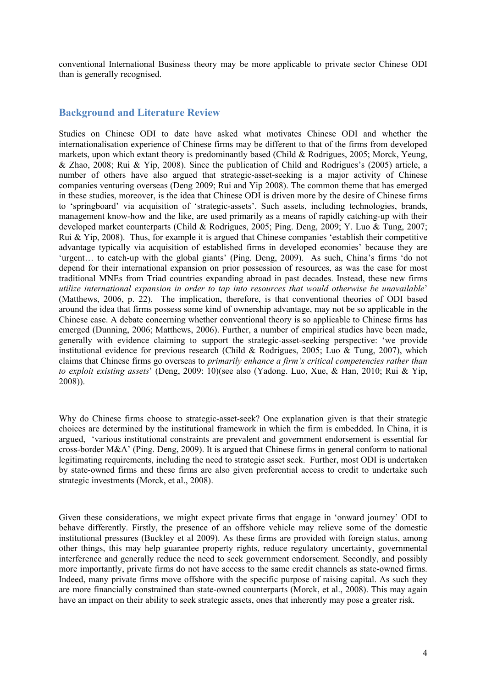conventional International Business theory may be more applicable to private sector Chinese ODI than is generally recognised.

#### **Background and Literature Review**

Studies on Chinese ODI to date have asked what motivates Chinese ODI and whether the internationalisation experience of Chinese firms may be different to that of the firms from developed markets, upon which extant theory is predominantly based (Child & Rodrigues, 2005; Morck, Yeung, & Zhao, 2008; Rui & Yip, 2008). Since the publication of Child and Rodrigues's (2005) article, a number of others have also argued that strategic-asset-seeking is a major activity of Chinese companies venturing overseas (Deng 2009; Rui and Yip 2008). The common theme that has emerged in these studies, moreover, is the idea that Chinese ODI is driven more by the desire of Chinese firms to 'springboard' via acquisition of 'strategic-assets'. Such assets, including technologies, brands, management know-how and the like, are used primarily as a means of rapidly catching-up with their developed market counterparts (Child & Rodrigues, 2005; Ping. Deng, 2009; Y. Luo & Tung, 2007; Rui & Yip, 2008). Thus, for example it is argued that Chinese companies 'establish their competitive advantage typically via acquisition of established firms in developed economies' because they are 'urgent… to catch-up with the global giants' (Ping. Deng, 2009). As such, China's firms 'do not depend for their international expansion on prior possession of resources, as was the case for most traditional MNEs from Triad countries expanding abroad in past decades. Instead, these new firms *utilize international expansion in order to tap into resources that would otherwise be unavailable*' (Matthews, 2006, p. 22). The implication, therefore, is that conventional theories of ODI based around the idea that firms possess some kind of ownership advantage, may not be so applicable in the Chinese case. A debate concerning whether conventional theory is so applicable to Chinese firms has emerged (Dunning, 2006; Matthews, 2006). Further, a number of empirical studies have been made, generally with evidence claiming to support the strategic-asset-seeking perspective: 'we provide institutional evidence for previous research (Child & Rodrigues, 2005; Luo & Tung, 2007), which claims that Chinese firms go overseas to *primarily enhance a firm's critical competencies rather than to exploit existing assets*' (Deng, 2009: 10)(see also (Yadong. Luo, Xue, & Han, 2010; Rui & Yip, 2008)).

Why do Chinese firms choose to strategic-asset-seek? One explanation given is that their strategic choices are determined by the institutional framework in which the firm is embedded. In China, it is argued, 'various institutional constraints are prevalent and government endorsement is essential for cross-border M&A' (Ping. Deng, 2009). It is argued that Chinese firms in general conform to national legitimating requirements, including the need to strategic asset seek. Further, most ODI is undertaken by state-owned firms and these firms are also given preferential access to credit to undertake such strategic investments (Morck, et al., 2008).

Given these considerations, we might expect private firms that engage in 'onward journey' ODI to behave differently. Firstly, the presence of an offshore vehicle may relieve some of the domestic institutional pressures (Buckley et al 2009). As these firms are provided with foreign status, among other things, this may help guarantee property rights, reduce regulatory uncertainty, governmental interference and generally reduce the need to seek government endorsement. Secondly, and possibly more importantly, private firms do not have access to the same credit channels as state-owned firms. Indeed, many private firms move offshore with the specific purpose of raising capital. As such they are more financially constrained than state-owned counterparts (Morck, et al., 2008). This may again have an impact on their ability to seek strategic assets, ones that inherently may pose a greater risk.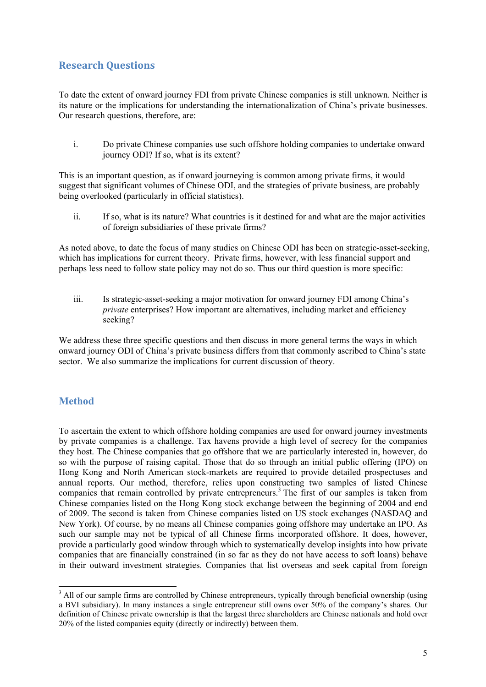## **Research Questions**

To date the extent of onward journey FDI from private Chinese companies is still unknown. Neither is its nature or the implications for understanding the internationalization of China's private businesses. Our research questions, therefore, are:

i. Do private Chinese companies use such offshore holding companies to undertake onward journey ODI? If so, what is its extent?

This is an important question, as if onward journeying is common among private firms, it would suggest that significant volumes of Chinese ODI, and the strategies of private business, are probably being overlooked (particularly in official statistics).

ii. If so, what is its nature? What countries is it destined for and what are the major activities of foreign subsidiaries of these private firms?

As noted above, to date the focus of many studies on Chinese ODI has been on strategic-asset-seeking, which has implications for current theory. Private firms, however, with less financial support and perhaps less need to follow state policy may not do so. Thus our third question is more specific:

iii. Is strategic-asset-seeking a major motivation for onward journey FDI among China's *private* enterprises? How important are alternatives, including market and efficiency seeking?

We address these three specific questions and then discuss in more general terms the ways in which onward journey ODI of China's private business differs from that commonly ascribed to China's state sector. We also summarize the implications for current discussion of theory.

## **Method**

l

To ascertain the extent to which offshore holding companies are used for onward journey investments by private companies is a challenge. Tax havens provide a high level of secrecy for the companies they host. The Chinese companies that go offshore that we are particularly interested in, however, do so with the purpose of raising capital. Those that do so through an initial public offering (IPO) on Hong Kong and North American stock-markets are required to provide detailed prospectuses and annual reports. Our method, therefore, relies upon constructing two samples of listed Chinese companies that remain controlled by private entrepreneurs.<sup>3</sup> The first of our samples is taken from Chinese companies listed on the Hong Kong stock exchange between the beginning of 2004 and end of 2009. The second is taken from Chinese companies listed on US stock exchanges (NASDAQ and New York). Of course, by no means all Chinese companies going offshore may undertake an IPO. As such our sample may not be typical of all Chinese firms incorporated offshore. It does, however, provide a particularly good window through which to systematically develop insights into how private companies that are financially constrained (in so far as they do not have access to soft loans) behave in their outward investment strategies. Companies that list overseas and seek capital from foreign

<sup>&</sup>lt;sup>3</sup> All of our sample firms are controlled by Chinese entrepreneurs, typically through beneficial ownership (using a BVI subsidiary). In many instances a single entrepreneur still owns over 50% of the company's shares. Our definition of Chinese private ownership is that the largest three shareholders are Chinese nationals and hold over 20% of the listed companies equity (directly or indirectly) between them.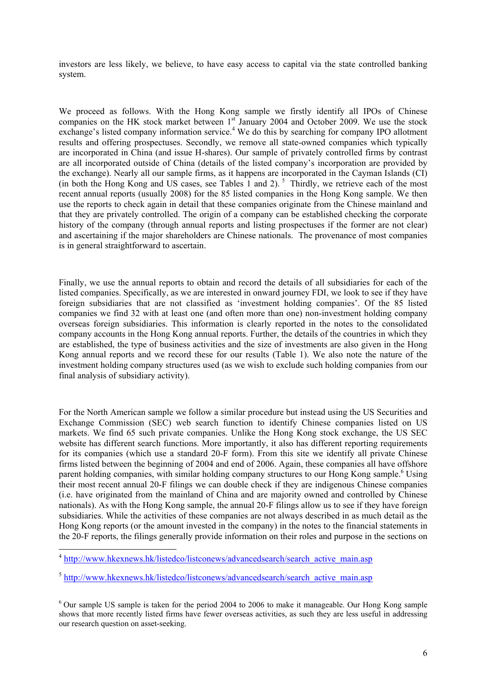investors are less likely, we believe, to have easy access to capital via the state controlled banking system.

We proceed as follows. With the Hong Kong sample we firstly identify all IPOs of Chinese companies on the HK stock market between  $1<sup>st</sup>$  January 2004 and October 2009. We use the stock exchange's listed company information service.<sup>4</sup> We do this by searching for company IPO allotment results and offering prospectuses. Secondly, we remove all state-owned companies which typically are incorporated in China (and issue H-shares). Our sample of privately controlled firms by contrast are all incorporated outside of China (details of the listed company's incorporation are provided by the exchange). Nearly all our sample firms, as it happens are incorporated in the Cayman Islands (CI) (in both the Hong Kong and US cases, see Tables  $\overline{1}$  and  $\overline{2}$ ). <sup>5</sup> Thirdly, we retrieve each of the most recent annual reports (usually 2008) for the 85 listed companies in the Hong Kong sample. We then use the reports to check again in detail that these companies originate from the Chinese mainland and that they are privately controlled. The origin of a company can be established checking the corporate history of the company (through annual reports and listing prospectuses if the former are not clear) and ascertaining if the major shareholders are Chinese nationals. The provenance of most companies is in general straightforward to ascertain.

Finally, we use the annual reports to obtain and record the details of all subsidiaries for each of the listed companies. Specifically, as we are interested in onward journey FDI, we look to see if they have foreign subsidiaries that are not classified as 'investment holding companies'. Of the 85 listed companies we find 32 with at least one (and often more than one) non-investment holding company overseas foreign subsidiaries. This information is clearly reported in the notes to the consolidated company accounts in the Hong Kong annual reports. Further, the details of the countries in which they are established, the type of business activities and the size of investments are also given in the Hong Kong annual reports and we record these for our results (Table 1). We also note the nature of the investment holding company structures used (as we wish to exclude such holding companies from our final analysis of subsidiary activity).

For the North American sample we follow a similar procedure but instead using the US Securities and Exchange Commission (SEC) web search function to identify Chinese companies listed on US markets. We find 65 such private companies. Unlike the Hong Kong stock exchange, the US SEC website has different search functions. More importantly, it also has different reporting requirements for its companies (which use a standard 20-F form). From this site we identify all private Chinese firms listed between the beginning of 2004 and end of 2006. Again, these companies all have offshore parent holding companies, with similar holding company structures to our Hong Kong sample.<sup>6</sup> Using their most recent annual 20-F filings we can double check if they are indigenous Chinese companies (i.e. have originated from the mainland of China and are majority owned and controlled by Chinese nationals). As with the Hong Kong sample, the annual 20-F filings allow us to see if they have foreign subsidiaries. While the activities of these companies are not always described in as much detail as the Hong Kong reports (or the amount invested in the company) in the notes to the financial statements in the 20-F reports, the filings generally provide information on their roles and purpose in the sections on

 $\overline{\phantom{a}}$ 

<sup>&</sup>lt;sup>4</sup> http://www.hkexnews.hk/listedco/listconews/advancedsearch/search\_active\_main.asp

 $5$  http://www.hkexnews.hk/listedco/listconews/advancedsearch/search\_active\_main.asp

<sup>&</sup>lt;sup>6</sup> Our sample US sample is taken for the period 2004 to 2006 to make it manageable. Our Hong Kong sample shows that more recently listed firms have fewer overseas activities, as such they are less useful in addressing our research question on asset-seeking.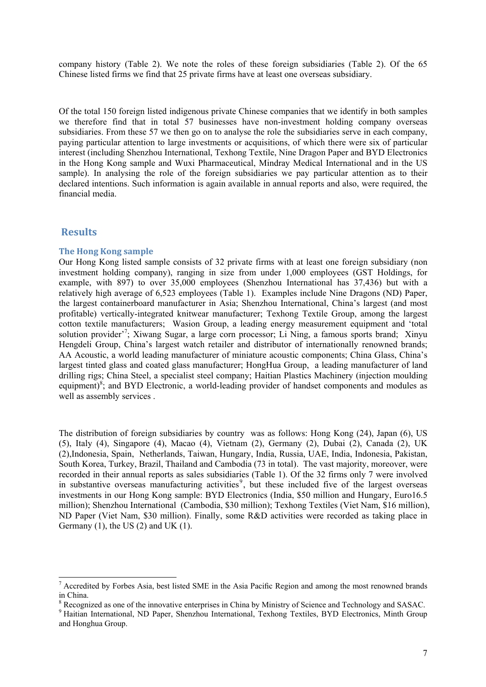company history (Table 2). We note the roles of these foreign subsidiaries (Table 2). Of the 65 Chinese listed firms we find that 25 private firms have at least one overseas subsidiary.

Of the total 150 foreign listed indigenous private Chinese companies that we identify in both samples we therefore find that in total 57 businesses have non-investment holding company overseas subsidiaries. From these 57 we then go on to analyse the role the subsidiaries serve in each company, paying particular attention to large investments or acquisitions, of which there were six of particular interest (including Shenzhou International, Texhong Textile, Nine Dragon Paper and BYD Electronics in the Hong Kong sample and Wuxi Pharmaceutical, Mindray Medical International and in the US sample). In analysing the role of the foreign subsidiaries we pay particular attention as to their declared intentions. Such information is again available in annual reports and also, were required, the financial media.

#### **Results**

l

#### **The Hong Kong sample**

Our Hong Kong listed sample consists of 32 private firms with at least one foreign subsidiary (non investment holding company), ranging in size from under 1,000 employees (GST Holdings, for example, with 897) to over 35,000 employees (Shenzhou International has 37,436) but with a relatively high average of 6,523 employees (Table 1). Examples include Nine Dragons (ND) Paper, the largest containerboard manufacturer in Asia; Shenzhou International, China's largest (and most profitable) vertically-integrated knitwear manufacturer; Texhong Textile Group, among the largest cotton textile manufacturers; Wasion Group, a leading energy measurement equipment and 'total solution provider<sup>7</sup>; Xiwang Sugar, a large corn processor; Li Ning, a famous sports brand; Xinyu Hengdeli Group, China's largest watch retailer and distributor of internationally renowned brands; AA Acoustic, a world leading manufacturer of miniature acoustic components; China Glass, China's largest tinted glass and coated glass manufacturer; HongHua Group, a leading manufacturer of land drilling rigs; China Steel, a specialist steel company; Haitian Plastics Machinery (injection moulding equipment)<sup>8</sup>; and BYD Electronic, a world-leading provider of handset components and modules as well as assembly services .

The distribution of foreign subsidiaries by country was as follows: Hong Kong (24), Japan (6), US (5), Italy (4), Singapore (4), Macao (4), Vietnam (2), Germany (2), Dubai (2), Canada (2), UK (2),Indonesia, Spain, Netherlands, Taiwan, Hungary, India, Russia, UAE, India, Indonesia, Pakistan, South Korea, Turkey, Brazil, Thailand and Cambodia (73 in total). The vast majority, moreover, were recorded in their annual reports as sales subsidiaries (Table 1). Of the 32 firms only 7 were involved in substantive overseas manufacturing activities<sup>9</sup>, but these included five of the largest overseas investments in our Hong Kong sample: BYD Electronics (India, \$50 million and Hungary, Euro16.5 million); Shenzhou International (Cambodia, \$30 million); Texhong Textiles (Viet Nam, \$16 million), ND Paper (Viet Nam, \$30 million). Finally, some R&D activities were recorded as taking place in Germany  $(1)$ , the US  $(2)$  and UK  $(1)$ .

 $<sup>7</sup>$  Accredited by Forbes Asia, best listed SME in the Asia Pacific Region and among the most renowned brands</sup> in China.

<sup>&</sup>lt;sup>8</sup> Recognized as one of the innovative enterprises in China by Ministry of Science and Technology and SASAC.

<sup>&</sup>lt;sup>9</sup> Haitian International, ND Paper, Shenzhou International, Texhong Textiles, BYD Electronics, Minth Group and Honghua Group.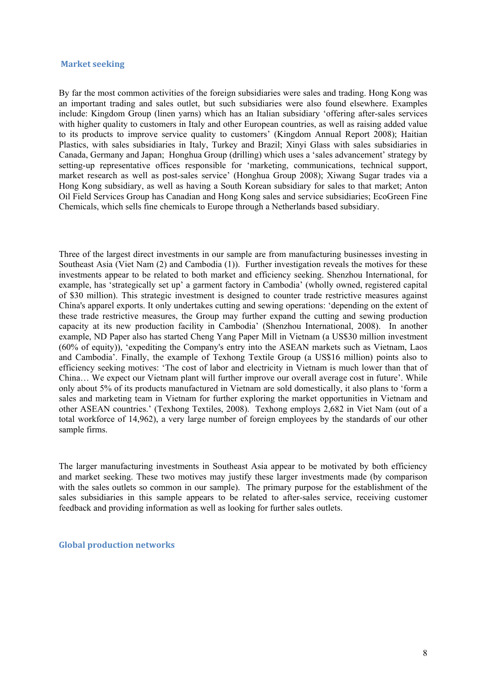#### **Market seeking**

By far the most common activities of the foreign subsidiaries were sales and trading. Hong Kong was an important trading and sales outlet, but such subsidiaries were also found elsewhere. Examples include: Kingdom Group (linen yarns) which has an Italian subsidiary 'offering after-sales services with higher quality to customers in Italy and other European countries, as well as raising added value to its products to improve service quality to customers' (Kingdom Annual Report 2008); Haitian Plastics, with sales subsidiaries in Italy, Turkey and Brazil; Xinyi Glass with sales subsidiaries in Canada, Germany and Japan; Honghua Group (drilling) which uses a 'sales advancement' strategy by setting-up representative offices responsible for 'marketing, communications, technical support, market research as well as post-sales service' (Honghua Group 2008); Xiwang Sugar trades via a Hong Kong subsidiary, as well as having a South Korean subsidiary for sales to that market; Anton Oil Field Services Group has Canadian and Hong Kong sales and service subsidiaries; EcoGreen Fine Chemicals, which sells fine chemicals to Europe through a Netherlands based subsidiary.

Three of the largest direct investments in our sample are from manufacturing businesses investing in Southeast Asia (Viet Nam (2) and Cambodia (1)). Further investigation reveals the motives for these investments appear to be related to both market and efficiency seeking. Shenzhou International, for example, has 'strategically set up' a garment factory in Cambodia' (wholly owned, registered capital of \$30 million). This strategic investment is designed to counter trade restrictive measures against China's apparel exports. It only undertakes cutting and sewing operations: 'depending on the extent of these trade restrictive measures, the Group may further expand the cutting and sewing production capacity at its new production facility in Cambodia' (Shenzhou International, 2008). In another example, ND Paper also has started Cheng Yang Paper Mill in Vietnam (a US\$30 million investment (60% of equity)), 'expediting the Company's entry into the ASEAN markets such as Vietnam, Laos and Cambodia'. Finally, the example of Texhong Textile Group (a US\$16 million) points also to efficiency seeking motives: 'The cost of labor and electricity in Vietnam is much lower than that of China… We expect our Vietnam plant will further improve our overall average cost in future'. While only about 5% of its products manufactured in Vietnam are sold domestically, it also plans to 'form a sales and marketing team in Vietnam for further exploring the market opportunities in Vietnam and other ASEAN countries.' (Texhong Textiles, 2008). Texhong employs 2,682 in Viet Nam (out of a total workforce of 14,962), a very large number of foreign employees by the standards of our other sample firms.

The larger manufacturing investments in Southeast Asia appear to be motivated by both efficiency and market seeking. These two motives may justify these larger investments made (by comparison with the sales outlets so common in our sample). The primary purpose for the establishment of the sales subsidiaries in this sample appears to be related to after-sales service, receiving customer feedback and providing information as well as looking for further sales outlets.

**Global production networks**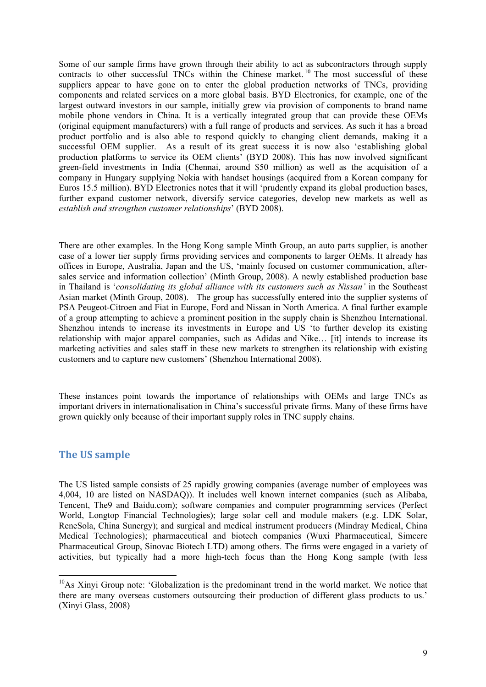Some of our sample firms have grown through their ability to act as subcontractors through supply contracts to other successful TNCs within the Chinese market.<sup>10</sup> The most successful of these suppliers appear to have gone on to enter the global production networks of TNCs, providing components and related services on a more global basis. BYD Electronics, for example, one of the largest outward investors in our sample, initially grew via provision of components to brand name mobile phone vendors in China. It is a vertically integrated group that can provide these OEMs (original equipment manufacturers) with a full range of products and services. As such it has a broad product portfolio and is also able to respond quickly to changing client demands, making it a successful OEM supplier. As a result of its great success it is now also 'establishing global production platforms to service its OEM clients' (BYD 2008). This has now involved significant green-field investments in India (Chennai, around \$50 million) as well as the acquisition of a company in Hungary supplying Nokia with handset housings (acquired from a Korean company for Euros 15.5 million). BYD Electronics notes that it will 'prudently expand its global production bases, further expand customer network, diversify service categories, develop new markets as well as *establish and strengthen customer relationships*' (BYD 2008).

There are other examples. In the Hong Kong sample Minth Group, an auto parts supplier, is another case of a lower tier supply firms providing services and components to larger OEMs. It already has offices in Europe, Australia, Japan and the US, 'mainly focused on customer communication, aftersales service and information collection' (Minth Group, 2008). A newly established production base in Thailand is '*consolidating its global alliance with its customers such as Nissan'* in the Southeast Asian market (Minth Group, 2008). The group has successfully entered into the supplier systems of PSA Peugeot-Citroen and Fiat in Europe, Ford and Nissan in North America. A final further example of a group attempting to achieve a prominent position in the supply chain is Shenzhou International. Shenzhou intends to increase its investments in Europe and US 'to further develop its existing relationship with major apparel companies, such as Adidas and Nike… [it] intends to increase its marketing activities and sales staff in these new markets to strengthen its relationship with existing customers and to capture new customers' (Shenzhou International 2008).

These instances point towards the importance of relationships with OEMs and large TNCs as important drivers in internationalisation in China's successful private firms. Many of these firms have grown quickly only because of their important supply roles in TNC supply chains.

## **The US sample**

l

The US listed sample consists of 25 rapidly growing companies (average number of employees was 4,004, 10 are listed on NASDAQ)). It includes well known internet companies (such as Alibaba, Tencent, The9 and Baidu.com); software companies and computer programming services (Perfect World, Longtop Financial Technologies); large solar cell and module makers (e.g. LDK Solar, ReneSola, China Sunergy); and surgical and medical instrument producers (Mindray Medical, China Medical Technologies); pharmaceutical and biotech companies (Wuxi Pharmaceutical, Simcere Pharmaceutical Group, Sinovac Biotech LTD) among others. The firms were engaged in a variety of activities, but typically had a more high-tech focus than the Hong Kong sample (with less

<sup>&</sup>lt;sup>10</sup>As Xinvi Group note: 'Globalization is the predominant trend in the world market. We notice that there are many overseas customers outsourcing their production of different glass products to us.' (Xinyi Glass, 2008)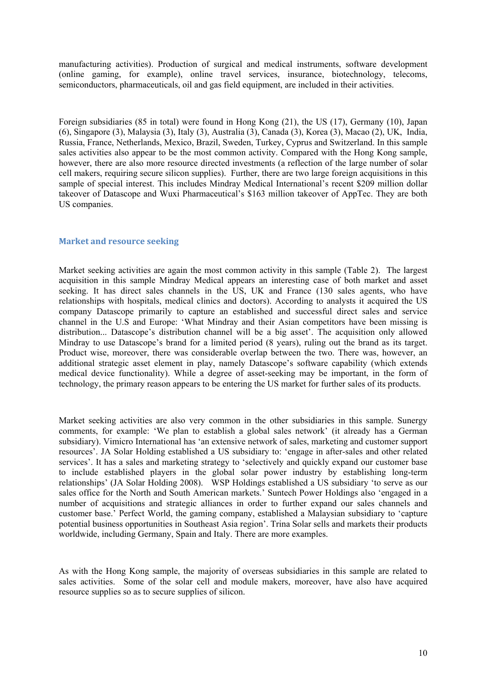manufacturing activities). Production of surgical and medical instruments, software development (online gaming, for example), online travel services, insurance, biotechnology, telecoms, semiconductors, pharmaceuticals, oil and gas field equipment, are included in their activities.

Foreign subsidiaries (85 in total) were found in Hong Kong (21), the US (17), Germany (10), Japan (6), Singapore (3), Malaysia (3), Italy (3), Australia (3), Canada (3), Korea (3), Macao (2), UK, India, Russia, France, Netherlands, Mexico, Brazil, Sweden, Turkey, Cyprus and Switzerland. In this sample sales activities also appear to be the most common activity. Compared with the Hong Kong sample, however, there are also more resource directed investments (a reflection of the large number of solar cell makers, requiring secure silicon supplies). Further, there are two large foreign acquisitions in this sample of special interest. This includes Mindray Medical International's recent \$209 million dollar takeover of Datascope and Wuxi Pharmaceutical's \$163 million takeover of AppTec. They are both US companies.

#### **Market and resource seeking**

Market seeking activities are again the most common activity in this sample (Table 2). The largest acquisition in this sample Mindray Medical appears an interesting case of both market and asset seeking. It has direct sales channels in the US, UK and France (130 sales agents, who have relationships with hospitals, medical clinics and doctors). According to analysts it acquired the US company Datascope primarily to capture an established and successful direct sales and service channel in the U.S and Europe: 'What Mindray and their Asian competitors have been missing is distribution... Datascope's distribution channel will be a big asset'. The acquisition only allowed Mindray to use Datascope's brand for a limited period (8 years), ruling out the brand as its target. Product wise, moreover, there was considerable overlap between the two. There was, however, an additional strategic asset element in play, namely Datascope's software capability (which extends medical device functionality). While a degree of asset-seeking may be important, in the form of technology, the primary reason appears to be entering the US market for further sales of its products.

Market seeking activities are also very common in the other subsidiaries in this sample. Sunergy comments, for example: 'We plan to establish a global sales network' (it already has a German subsidiary). Vimicro International has 'an extensive network of sales, marketing and customer support resources'. JA Solar Holding established a US subsidiary to: 'engage in after-sales and other related services'. It has a sales and marketing strategy to 'selectively and quickly expand our customer base to include established players in the global solar power industry by establishing long-term relationships' (JA Solar Holding 2008). WSP Holdings established a US subsidiary 'to serve as our sales office for the North and South American markets.' Suntech Power Holdings also 'engaged in a number of acquisitions and strategic alliances in order to further expand our sales channels and customer base.' Perfect World, the gaming company, established a Malaysian subsidiary to 'capture potential business opportunities in Southeast Asia region'. Trina Solar sells and markets their products worldwide, including Germany, Spain and Italy. There are more examples.

As with the Hong Kong sample, the majority of overseas subsidiaries in this sample are related to sales activities. Some of the solar cell and module makers, moreover, have also have acquired resource supplies so as to secure supplies of silicon.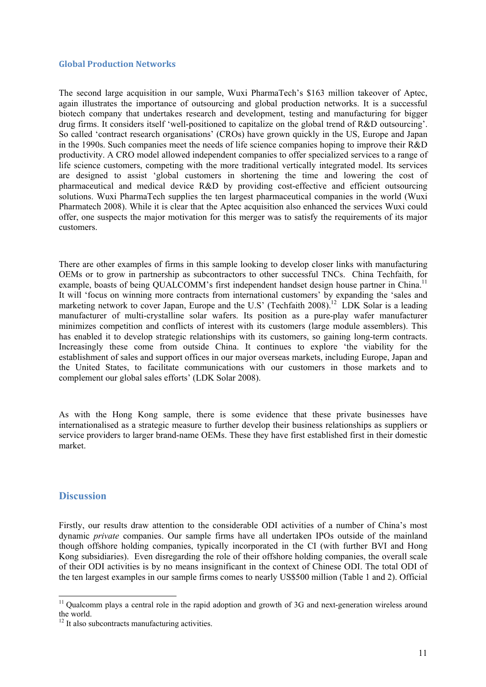#### **Global Production Networks**

The second large acquisition in our sample, Wuxi PharmaTech's \$163 million takeover of Aptec, again illustrates the importance of outsourcing and global production networks. It is a successful biotech company that undertakes research and development, testing and manufacturing for bigger drug firms. It considers itself 'well-positioned to capitalize on the global trend of R&D outsourcing'. So called 'contract research organisations' (CROs) have grown quickly in the US, Europe and Japan in the 1990s. Such companies meet the needs of life science companies hoping to improve their R&D productivity. A CRO model allowed independent companies to offer specialized services to a range of life science customers, competing with the more traditional vertically integrated model. Its services are designed to assist 'global customers in shortening the time and lowering the cost of pharmaceutical and medical device R&D by providing cost-effective and efficient outsourcing solutions. Wuxi PharmaTech supplies the ten largest pharmaceutical companies in the world (Wuxi Pharmatech 2008). While it is clear that the Aptec acquisition also enhanced the services Wuxi could offer, one suspects the major motivation for this merger was to satisfy the requirements of its major customers.

There are other examples of firms in this sample looking to develop closer links with manufacturing OEMs or to grow in partnership as subcontractors to other successful TNCs. China Techfaith, for example, boasts of being QUALCOMM's first independent handset design house partner in China.<sup>11</sup> It will 'focus on winning more contracts from international customers' by expanding the 'sales and marketing network to cover Japan, Europe and the U.S' (Techfaith 2008).<sup>12</sup> LDK Solar is a leading manufacturer of multi-crystalline solar wafers. Its position as a pure-play wafer manufacturer minimizes competition and conflicts of interest with its customers (large module assemblers). This has enabled it to develop strategic relationships with its customers, so gaining long-term contracts. Increasingly these come from outside China. It continues to explore 'the viability for the establishment of sales and support offices in our major overseas markets, including Europe, Japan and the United States, to facilitate communications with our customers in those markets and to complement our global sales efforts' (LDK Solar 2008).

As with the Hong Kong sample, there is some evidence that these private businesses have internationalised as a strategic measure to further develop their business relationships as suppliers or service providers to larger brand-name OEMs. These they have first established first in their domestic market.

## **Discussion**

l

Firstly, our results draw attention to the considerable ODI activities of a number of China's most dynamic *private* companies. Our sample firms have all undertaken IPOs outside of the mainland though offshore holding companies, typically incorporated in the CI (with further BVI and Hong Kong subsidiaries). Even disregarding the role of their offshore holding companies, the overall scale of their ODI activities is by no means insignificant in the context of Chinese ODI. The total ODI of the ten largest examples in our sample firms comes to nearly US\$500 million (Table 1 and 2). Official

 $11$  Qualcomm plays a central role in the rapid adoption and growth of 3G and next-generation wireless around the world.

<sup>&</sup>lt;sup>12</sup> It also subcontracts manufacturing activities.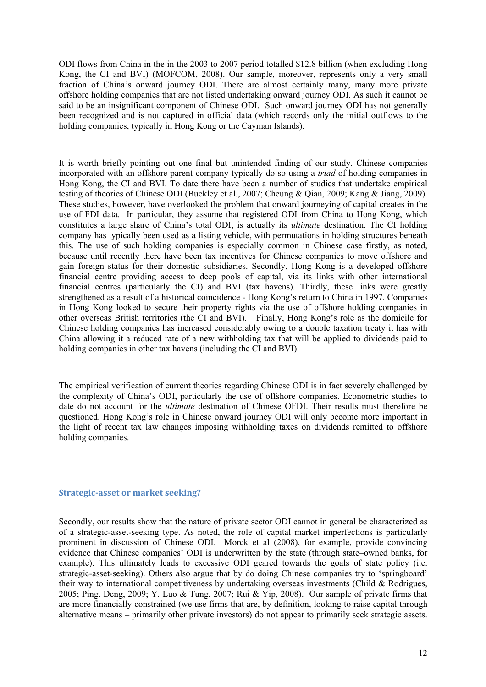ODI flows from China in the in the 2003 to 2007 period totalled \$12.8 billion (when excluding Hong Kong, the CI and BVI) (MOFCOM, 2008). Our sample, moreover, represents only a very small fraction of China's onward journey ODI. There are almost certainly many, many more private offshore holding companies that are not listed undertaking onward journey ODI. As such it cannot be said to be an insignificant component of Chinese ODI. Such onward journey ODI has not generally been recognized and is not captured in official data (which records only the initial outflows to the holding companies, typically in Hong Kong or the Cayman Islands).

It is worth briefly pointing out one final but unintended finding of our study. Chinese companies incorporated with an offshore parent company typically do so using a *triad* of holding companies in Hong Kong, the CI and BVI. To date there have been a number of studies that undertake empirical testing of theories of Chinese ODI (Buckley et al., 2007; Cheung & Qian, 2009; Kang & Jiang, 2009). These studies, however, have overlooked the problem that onward journeying of capital creates in the use of FDI data. In particular, they assume that registered ODI from China to Hong Kong, which constitutes a large share of China's total ODI, is actually its *ultimate* destination. The CI holding company has typically been used as a listing vehicle, with permutations in holding structures beneath this. The use of such holding companies is especially common in Chinese case firstly, as noted, because until recently there have been tax incentives for Chinese companies to move offshore and gain foreign status for their domestic subsidiaries. Secondly, Hong Kong is a developed offshore financial centre providing access to deep pools of capital, via its links with other international financial centres (particularly the CI) and BVI (tax havens). Thirdly, these links were greatly strengthened as a result of a historical coincidence - Hong Kong's return to China in 1997. Companies in Hong Kong looked to secure their property rights via the use of offshore holding companies in other overseas British territories (the CI and BVI). Finally, Hong Kong's role as the domicile for Chinese holding companies has increased considerably owing to a double taxation treaty it has with China allowing it a reduced rate of a new withholding tax that will be applied to dividends paid to holding companies in other tax havens (including the CI and BVI).

The empirical verification of current theories regarding Chinese ODI is in fact severely challenged by the complexity of China's ODI, particularly the use of offshore companies. Econometric studies to date do not account for the *ultimate* destination of Chinese OFDI. Their results must therefore be questioned. Hong Kong's role in Chinese onward journey ODI will only become more important in the light of recent tax law changes imposing withholding taxes on dividends remitted to offshore holding companies.

#### **Strategic-asset or market seeking?**

Secondly, our results show that the nature of private sector ODI cannot in general be characterized as of a strategic-asset-seeking type. As noted, the role of capital market imperfections is particularly prominent in discussion of Chinese ODI. Morck et al (2008), for example, provide convincing evidence that Chinese companies' ODI is underwritten by the state (through state–owned banks, for example). This ultimately leads to excessive ODI geared towards the goals of state policy (i.e. strategic-asset-seeking). Others also argue that by do doing Chinese companies try to 'springboard' their way to international competitiveness by undertaking overseas investments (Child & Rodrigues, 2005; Ping. Deng, 2009; Y. Luo & Tung, 2007; Rui & Yip, 2008). Our sample of private firms that are more financially constrained (we use firms that are, by definition, looking to raise capital through alternative means – primarily other private investors) do not appear to primarily seek strategic assets.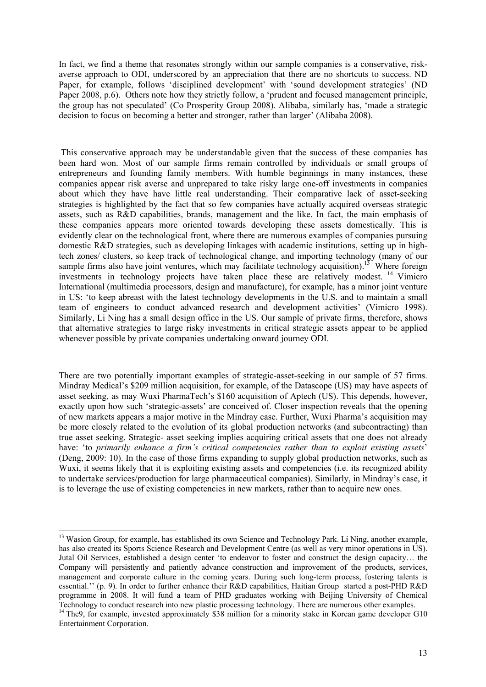In fact, we find a theme that resonates strongly within our sample companies is a conservative, riskaverse approach to ODI, underscored by an appreciation that there are no shortcuts to success. ND Paper, for example, follows 'disciplined development' with 'sound development strategies' (ND Paper 2008, p.6). Others note how they strictly follow, a 'prudent and focused management principle, the group has not speculated' (Co Prosperity Group 2008). Alibaba, similarly has, 'made a strategic decision to focus on becoming a better and stronger, rather than larger' (Alibaba 2008).

 This conservative approach may be understandable given that the success of these companies has been hard won. Most of our sample firms remain controlled by individuals or small groups of entrepreneurs and founding family members. With humble beginnings in many instances, these companies appear risk averse and unprepared to take risky large one-off investments in companies about which they have have little real understanding. Their comparative lack of asset-seeking strategies is highlighted by the fact that so few companies have actually acquired overseas strategic assets, such as R&D capabilities, brands, management and the like. In fact, the main emphasis of these companies appears more oriented towards developing these assets domestically. This is evidently clear on the technological front, where there are numerous examples of companies pursuing domestic R&D strategies, such as developing linkages with academic institutions, setting up in hightech zones/ clusters, so keep track of technological change, and importing technology (many of our sample firms also have joint ventures, which may facilitate technology acquisition).<sup>13</sup> Where foreign investments in technology projects have taken place these are relatively modest. 14 Vimicro International (multimedia processors, design and manufacture), for example, has a minor joint venture in US: 'to keep abreast with the latest technology developments in the U.S. and to maintain a small team of engineers to conduct advanced research and development activities' (Vimicro 1998). Similarly, Li Ning has a small design office in the US. Our sample of private firms, therefore, shows that alternative strategies to large risky investments in critical strategic assets appear to be applied whenever possible by private companies undertaking onward journey ODI.

There are two potentially important examples of strategic-asset-seeking in our sample of 57 firms. Mindray Medical's \$209 million acquisition, for example, of the Datascope (US) may have aspects of asset seeking, as may Wuxi PharmaTech's \$160 acquisition of Aptech (US). This depends, however, exactly upon how such 'strategic-assets' are conceived of. Closer inspection reveals that the opening of new markets appears a major motive in the Mindray case. Further, Wuxi Pharma's acquisition may be more closely related to the evolution of its global production networks (and subcontracting) than true asset seeking. Strategic- asset seeking implies acquiring critical assets that one does not already have: 'to *primarily enhance a firm's critical competencies rather than to exploit existing assets*' (Deng, 2009: 10). In the case of those firms expanding to supply global production networks, such as Wuxi, it seems likely that it is exploiting existing assets and competencies (i.e. its recognized ability to undertake services/production for large pharmaceutical companies). Similarly, in Mindray's case, it is to leverage the use of existing competencies in new markets, rather than to acquire new ones.

l

<sup>&</sup>lt;sup>13</sup> Wasion Group, for example, has established its own Science and Technology Park. Li Ning, another example, has also created its Sports Science Research and Development Centre (as well as very minor operations in US). Jutal Oil Services, established a design center 'to endeavor to foster and construct the design capacity… the Company will persistently and patiently advance construction and improvement of the products, services, management and corporate culture in the coming years. During such long-term process, fostering talents is essential.'' (p. 9). In order to further enhance their R&D capabilities, Haitian Group started a post-PHD R&D programme in 2008. It will fund a team of PHD graduates working with Beijing University of Chemical

Technology to conduct research into new plastic processing technology. There are numerous other examples. 14 The9, for example, invested approximately \$38 million for a minority stake in Korean game developer G10 Entertainment Corporation.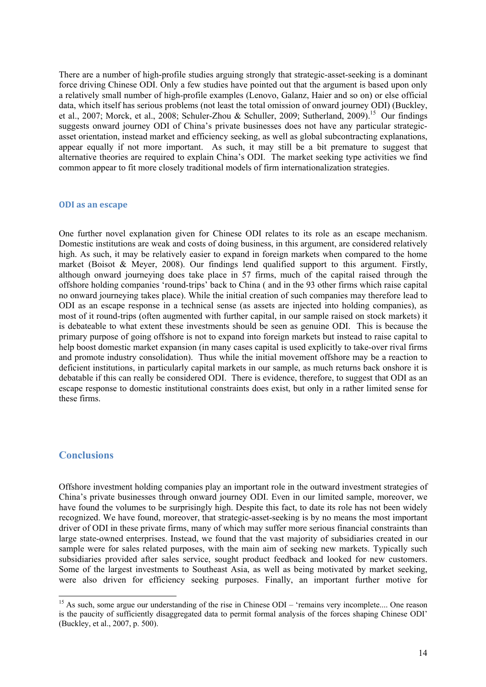There are a number of high-profile studies arguing strongly that strategic-asset-seeking is a dominant force driving Chinese ODI. Only a few studies have pointed out that the argument is based upon only a relatively small number of high-profile examples (Lenovo, Galanz, Haier and so on) or else official data, which itself has serious problems (not least the total omission of onward journey ODI) (Buckley, et al., 2007; Morck, et al., 2008; Schuler-Zhou & Schuller, 2009; Sutherland, 2009).<sup>15</sup> Our findings suggests onward journey ODI of China's private businesses does not have any particular strategicasset orientation, instead market and efficiency seeking, as well as global subcontracting explanations, appear equally if not more important. As such, it may still be a bit premature to suggest that alternative theories are required to explain China's ODI. The market seeking type activities we find common appear to fit more closely traditional models of firm internationalization strategies.

#### **ODI as an escape**

One further novel explanation given for Chinese ODI relates to its role as an escape mechanism. Domestic institutions are weak and costs of doing business, in this argument, are considered relatively high. As such, it may be relatively easier to expand in foreign markets when compared to the home market (Boisot & Meyer, 2008). Our findings lend qualified support to this argument. Firstly, although onward journeying does take place in 57 firms, much of the capital raised through the offshore holding companies 'round-trips' back to China ( and in the 93 other firms which raise capital no onward journeying takes place). While the initial creation of such companies may therefore lead to ODI as an escape response in a technical sense (as assets are injected into holding companies), as most of it round-trips (often augmented with further capital, in our sample raised on stock markets) it is debateable to what extent these investments should be seen as genuine ODI. This is because the primary purpose of going offshore is not to expand into foreign markets but instead to raise capital to help boost domestic market expansion (in many cases capital is used explicitly to take-over rival firms and promote industry consolidation). Thus while the initial movement offshore may be a reaction to deficient institutions, in particularly capital markets in our sample, as much returns back onshore it is debatable if this can really be considered ODI. There is evidence, therefore, to suggest that ODI as an escape response to domestic institutional constraints does exist, but only in a rather limited sense for these firms.

### **Conclusions**

l

Offshore investment holding companies play an important role in the outward investment strategies of China's private businesses through onward journey ODI. Even in our limited sample, moreover, we have found the volumes to be surprisingly high. Despite this fact, to date its role has not been widely recognized. We have found, moreover, that strategic-asset-seeking is by no means the most important driver of ODI in these private firms, many of which may suffer more serious financial constraints than large state-owned enterprises. Instead, we found that the vast majority of subsidiaries created in our sample were for sales related purposes, with the main aim of seeking new markets. Typically such subsidiaries provided after sales service, sought product feedback and looked for new customers. Some of the largest investments to Southeast Asia, as well as being motivated by market seeking, were also driven for efficiency seeking purposes. Finally, an important further motive for

<sup>&</sup>lt;sup>15</sup> As such, some argue our understanding of the rise in Chinese ODI – 'remains very incomplete.... One reason is the paucity of sufficiently disaggregated data to permit formal analysis of the forces shaping Chinese ODI' (Buckley, et al., 2007, p. 500).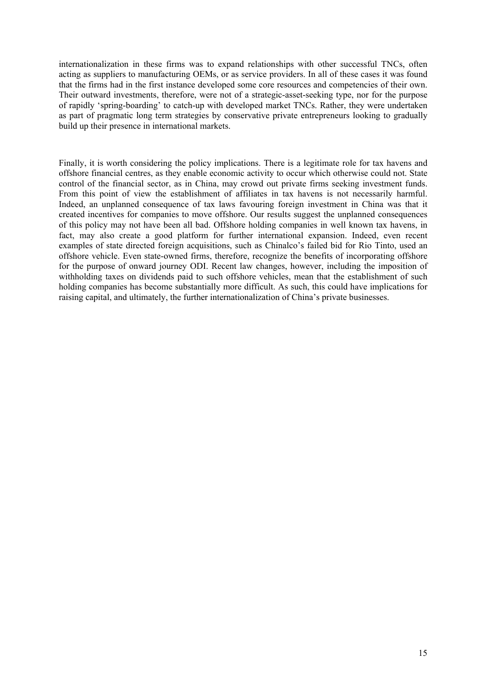internationalization in these firms was to expand relationships with other successful TNCs, often acting as suppliers to manufacturing OEMs, or as service providers. In all of these cases it was found that the firms had in the first instance developed some core resources and competencies of their own. Their outward investments, therefore, were not of a strategic-asset-seeking type, nor for the purpose of rapidly 'spring-boarding' to catch-up with developed market TNCs. Rather, they were undertaken as part of pragmatic long term strategies by conservative private entrepreneurs looking to gradually build up their presence in international markets.

Finally, it is worth considering the policy implications. There is a legitimate role for tax havens and offshore financial centres, as they enable economic activity to occur which otherwise could not. State control of the financial sector, as in China, may crowd out private firms seeking investment funds. From this point of view the establishment of affiliates in tax havens is not necessarily harmful. Indeed, an unplanned consequence of tax laws favouring foreign investment in China was that it created incentives for companies to move offshore. Our results suggest the unplanned consequences of this policy may not have been all bad. Offshore holding companies in well known tax havens, in fact, may also create a good platform for further international expansion. Indeed, even recent examples of state directed foreign acquisitions, such as Chinalco's failed bid for Rio Tinto, used an offshore vehicle. Even state-owned firms, therefore, recognize the benefits of incorporating offshore for the purpose of onward journey ODI. Recent law changes, however, including the imposition of withholding taxes on dividends paid to such offshore vehicles, mean that the establishment of such holding companies has become substantially more difficult. As such, this could have implications for raising capital, and ultimately, the further internationalization of China's private businesses.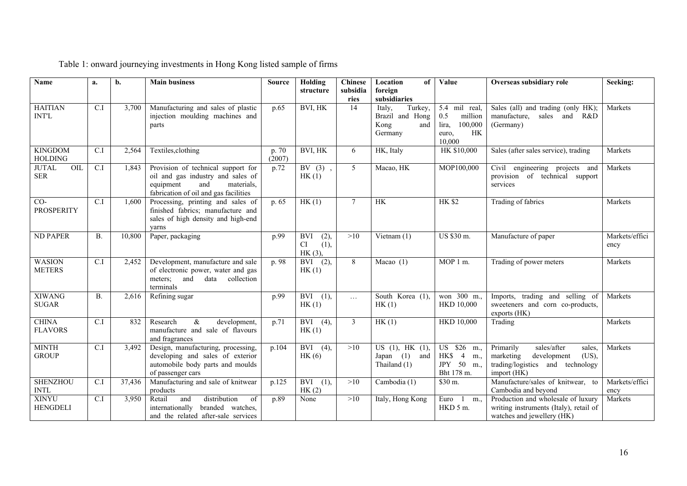| Name                              | a.               | b.     | <b>Main business</b>                                                                                                                               | <b>Source</b>   | Holding<br>structure                          | <b>Chinese</b><br>subsidia | Location<br>of<br>foreign                                                      | Value                                                                               | Overseas subsidiary role                                                                                                      | Seeking:               |
|-----------------------------------|------------------|--------|----------------------------------------------------------------------------------------------------------------------------------------------------|-----------------|-----------------------------------------------|----------------------------|--------------------------------------------------------------------------------|-------------------------------------------------------------------------------------|-------------------------------------------------------------------------------------------------------------------------------|------------------------|
| <b>HAITIAN</b><br><b>INT'L</b>    | C.I              | 3,700  | Manufacturing and sales of plastic<br>injection moulding machines and<br>parts                                                                     | p.65            | BVI, HK                                       | ries<br>14                 | subsidiaries<br>Italy,<br>Turkey,<br>Brazil and Hong<br>Kong<br>and<br>Germany | 5.4 mil real,<br>0.5<br>million<br>lira,<br>100,000<br><b>HK</b><br>euro,<br>10,000 | Sales (all) and trading (only HK);<br>manufacture, sales and R&D<br>(Germany)                                                 | Markets                |
| <b>KINGDOM</b><br><b>HOLDING</b>  | C.I              | 2,564  | Textiles, clothing                                                                                                                                 | p. 70<br>(2007) | BVI, HK                                       | 6                          | HK, Italy                                                                      | HK \$10,000                                                                         | Sales (after sales service), trading                                                                                          | Markets                |
| <b>JUTAL</b><br>OIL<br><b>SER</b> | C.I              | 1,843  | Provision of technical support for<br>oil and gas industry and sales of<br>equipment<br>and<br>materials,<br>fabrication of oil and gas facilities | p.72            | $BV(3)$ ,<br>HK(1)                            | $\mathfrak{H}$             | Macao, HK                                                                      | MOP100,000                                                                          | Civil engineering projects and<br>provision of technical support<br>services                                                  | Markets                |
| $CO-$<br><b>PROSPERITY</b>        | C.I              | 1,600  | Processing, printing and sales of<br>finished fabrics; manufacture and<br>sales of high density and high-end<br>varns                              | p. 65           | HK(1)                                         | $\tau$                     | HK                                                                             | <b>HK \$2</b>                                                                       | Trading of fabrics                                                                                                            | Markets                |
| <b>ND PAPER</b>                   | <b>B.</b>        | 10,800 | Paper, packaging                                                                                                                                   | p.99            | (2),<br><b>BVI</b><br>CI<br>(1),<br>$HK(3)$ , | >10                        | Vietnam $(1)$                                                                  | US \$30 m.                                                                          | Manufacture of paper                                                                                                          | Markets/effici<br>ency |
| <b>WASION</b><br><b>METERS</b>    | C.I              | 2,452  | Development, manufacture and sale<br>of electronic power, water and gas<br>meters; and<br>data collection<br>terminals                             | p. 98           | (2),<br><b>BVI</b><br>HK(1)                   | 8                          | Macao $(1)$                                                                    | MOP 1 m.                                                                            | Trading of power meters                                                                                                       | Markets                |
| <b>XIWANG</b><br><b>SUGAR</b>     | <b>B.</b>        | 2,616  | Refining sugar                                                                                                                                     | p.99            | <b>BVI</b><br>(1),<br>HK(1)                   | $\cdots$                   | South Korea (1)<br>HK(1)                                                       | won 300 m.<br><b>HKD 10,000</b>                                                     | Imports, trading and selling of<br>sweeteners and corn co-products,<br>exports (HK)                                           | Markets                |
| <b>CHINA</b><br><b>FLAVORS</b>    | C.I              | 832    | Research<br>$\&$<br>development,<br>manufacture and sale of flavours<br>and fragrances                                                             | p.71            | BVI $(4)$ ,<br>HK(1)                          | $\mathfrak{Z}$             | HK(1)                                                                          | <b>HKD 10,000</b>                                                                   | Trading                                                                                                                       | Markets                |
| <b>MINTH</b><br><b>GROUP</b>      | $\overline{CI}$  | 3,492  | Design, manufacturing, processing,<br>developing and sales of exterior<br>automobile body parts and moulds<br>of passenger cars                    | p.104           | BVI $(4)$ ,<br>HK(6)                          | >10                        | US $(1)$ , HK $(1)$ ,<br>Japan $(1)$<br>and<br>Thailand (1)                    | US <sup>-</sup><br>$$26 \text{ m.}$<br>HK\$ 4<br>m.<br>JPY 50<br>m.,<br>Bht 178 m.  | Primarily<br>sales/after<br>sales,<br>marketing<br>development<br>$(US)$ ,<br>trading/logistics and technology<br>import (HK) | Markets                |
| <b>SHENZHOU</b><br><b>INTL</b>    | $\overline{C.I}$ | 37,436 | Manufacturing and sale of knitwear<br>products                                                                                                     | p.125           | <b>BVI</b><br>(1),<br>HK(2)                   | >10                        | Cambodia (1)                                                                   | $\overline{\$}30$ m.                                                                | Manufacture/sales of knitwear, to<br>Cambodia and beyond                                                                      | Markets/effici<br>ency |
| <b>XINYU</b><br><b>HENGDELI</b>   | C.I              | 3,950  | distribution<br>and<br>Retail<br>of<br>internationally<br>branded watches,<br>and the related after-sale services                                  | p.89            | None                                          | >10                        | Italy, Hong Kong                                                               | Euro<br>-1<br>m.,<br>HKD 5 m.                                                       | Production and wholesale of luxury<br>writing instruments (Italy), retail of<br>watches and jewellery (HK)                    | Markets                |

# Table 1: onward journeying investments in Hong Kong listed sample of firms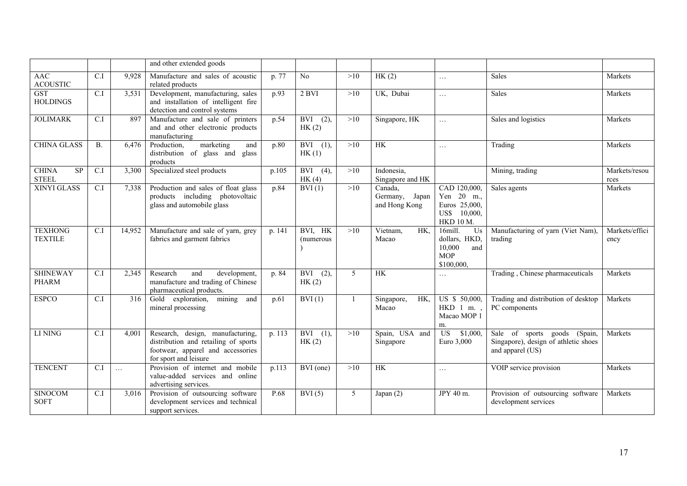|                                    |                  |          | and other extended goods                                                                                                               |        |                                |                |                                            |                                                                                 |                                                                                          |                        |
|------------------------------------|------------------|----------|----------------------------------------------------------------------------------------------------------------------------------------|--------|--------------------------------|----------------|--------------------------------------------|---------------------------------------------------------------------------------|------------------------------------------------------------------------------------------|------------------------|
| <b>AAC</b><br><b>ACOUSTIC</b>      | C.I              | 9,928    | Manufacture and sales of acoustic<br>related products                                                                                  | p. 77  | No                             | >10            | HK(2)                                      | $\ddots$                                                                        | <b>Sales</b>                                                                             | Markets                |
| <b>GST</b><br><b>HOLDINGS</b>      | $\overline{CI}$  | 3,531    | Development, manufacturing, sales<br>and installation of intelligent fire<br>detection and control systems                             | p.93   | $2$ BVI                        | >10            | UK, Dubai                                  | $\ldots$                                                                        | <b>Sales</b>                                                                             | Markets                |
| <b>JOLIMARK</b>                    | $\overline{C.I}$ | 897      | Manufacture and sale of printers<br>and and other electronic products<br>manufacturing                                                 | p.54   | $\overline{BVI}$ (2),<br>HK(2) | >10            | Singapore, HK                              | $\dddotsc$                                                                      | Sales and logistics                                                                      | Markets                |
| <b>CHINA GLASS</b>                 | <b>B.</b>        | 6,476    | marketing<br>Production,<br>and<br>distribution of glass and glass<br>products                                                         | p.80   | $\overline{BVI}$ (1),<br>HK(1) | >10            | HK                                         | $\ldots$                                                                        | Trading                                                                                  | Markets                |
| <b>CHINA</b><br>SP<br><b>STEEL</b> | C.I              | 3,300    | Specialized steel products                                                                                                             | p.105  | $\overline{BVI}$ (4),<br>HK(4) | >10            | Indonesia.<br>Singapore and HK             |                                                                                 | Mining, trading                                                                          | Markets/resou<br>rces  |
| <b>XINYI GLASS</b>                 | C.I              | 7,338    | Production and sales of float glass<br>products including photovoltaic<br>glass and automobile glass                                   | p.84   | BVI(1)                         | >10            | Canada,<br>Germany, Japan<br>and Hong Kong | CAD 120,000,<br>Yen 20 m.,<br>Euros 25,000,<br>US\$ 10,000,<br><b>HKD 10 M.</b> | Sales agents                                                                             | Markets                |
| <b>TEXHONG</b><br><b>TEXTILE</b>   | C.I              | 14,952   | Manufacture and sale of yarn, grey<br>fabrics and garment fabrics                                                                      | p. 141 | BVI, HK<br>(numerous           | >10            | Vietnam,<br>HK,<br>Macao                   | 16mill.<br>Us<br>dollars, HKD,<br>10,000<br>and<br><b>MOP</b><br>\$100,000,     | Manufacturing of yarn (Viet Nam),<br>trading                                             | Markets/effici<br>ency |
| <b>SHINEWAY</b><br><b>PHARM</b>    | C.I              | 2,345    | Research<br>development,<br>and<br>manufacture and trading of Chinese<br>pharmaceutical products.                                      | p. 84  | (2),<br><b>BVI</b><br>HK(2)    | 5              | HK                                         | $\ldots$                                                                        | Trading, Chinese pharmaceuticals                                                         | Markets                |
| <b>ESPCO</b>                       | C.I              | 316      | Gold exploration, mining<br>and<br>mineral processing                                                                                  | p.61   | BVI(1)                         | $\overline{1}$ | HK,<br>Singapore,<br>Macao                 | US \$ 50,000<br>HKD 1 m.<br>Macao MOP 1<br>m.                                   | Trading and distribution of desktop<br>PC components                                     | Markets                |
| LI NING                            | C.I              | 4,001    | Research, design, manufacturing,<br>distribution and retailing of sports<br>footwear, apparel and accessories<br>for sport and leisure | p. 113 | $BVI$ (1),<br>HK(2)            | >10            | Spain, USA and<br>Singapore                | US<br>\$1,000,<br>Euro 3,000                                                    | Sale of sports goods (Spain,<br>Singapore), design of athletic shoes<br>and apparel (US) | Markets                |
| <b>TENCENT</b>                     | $\overline{C.I}$ | $\ldots$ | Provision of internet and mobile<br>value-added services and online<br>advertising services.                                           | p.113  | $\overline{BVI}$ (one)         | >10            | <b>HK</b>                                  | $\ldots$                                                                        | VOIP service provision                                                                   | Markets                |
| <b>SINOCOM</b><br><b>SOFT</b>      | C.I              | 3.016    | Provision of outsourcing software<br>development services and technical<br>support services.                                           | P.68   | BVI(5)                         | 5              | Japan $(2)$                                | JPY 40 m.                                                                       | Provision of outsourcing software<br>development services                                | Markets                |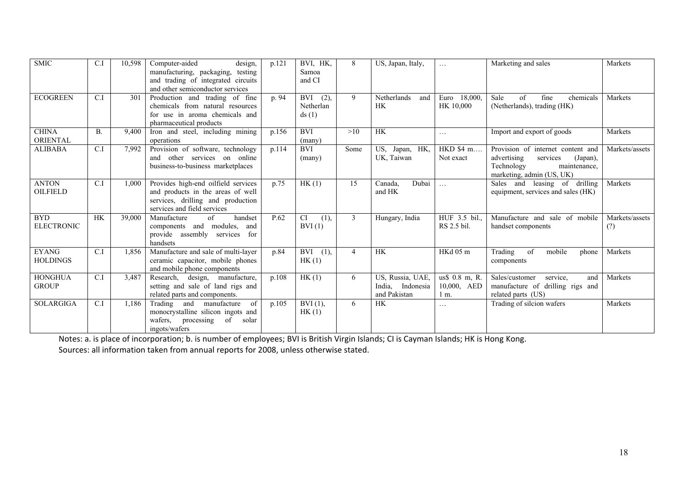| <b>SMIC</b>                     | C.I              | 10,598 | Computer-aided<br>design,<br>manufacturing, packaging,<br>testing<br>and trading of integrated circuits<br>and other semiconductor services  | p.121 | BVI, HK,<br>Samoa<br>and CI              | 8              | US, Japan, Italy,                                    | $\cdots$                              | Marketing and sales                                                                                                                 | Markets               |
|---------------------------------|------------------|--------|----------------------------------------------------------------------------------------------------------------------------------------------|-------|------------------------------------------|----------------|------------------------------------------------------|---------------------------------------|-------------------------------------------------------------------------------------------------------------------------------------|-----------------------|
| <b>ECOGREEN</b>                 | C.I              | 301    | Production and trading of fine<br>chemicals from natural resources<br>for use in aroma chemicals and<br>pharmaceutical products              | p. 94 | <b>BVI</b><br>(2),<br>Netherlan<br>ds(1) | 9              | Netherlands<br>and<br><b>HK</b>                      | 18,000<br>Euro<br>HK 10,000           | Sale<br>of<br>chemicals<br>fine<br>(Netherlands), trading (HK)                                                                      | Markets               |
| <b>CHINA</b><br><b>ORIENTAL</b> | <b>B.</b>        | 9,400  | Iron and steel, including mining<br>operations                                                                                               | p.156 | <b>BVI</b><br>$(\text{many})$            | >10            | <b>HK</b>                                            | $\cdots$                              | Import and export of goods                                                                                                          | Markets               |
| <b>ALIBABA</b>                  | $\overline{C}$ . | 7,992  | Provision of software, technology<br>and other services on online<br>business-to-business marketplaces                                       | p.114 | <b>BVI</b><br>(many)                     | Some           | US,<br>Japan, HK,<br>UK, Taiwan                      | HKD \$4 m<br>Not exact                | Provision of internet content and<br>advertising<br>services<br>(Japan),<br>Technology<br>maintenance.<br>marketing, admin (US, UK) | Markets/assets        |
| <b>ANTON</b><br><b>OILFIELD</b> | C.I              | 1,000  | Provides high-end oilfield services<br>and products in the areas of well<br>services, drilling and production<br>services and field services | p.75  | HK(1)                                    | 15             | Dubai<br>Canada.<br>and HK                           | $\ddots$                              | Sales and leasing of drilling<br>equipment, services and sales (HK)                                                                 | Markets               |
| <b>BYD</b><br><b>ELECTRONIC</b> | <b>HK</b>        | 39,000 | Manufacture<br>$\sigma$ f<br>handset<br>components and modules, and<br>provide assembly services<br>for<br>handsets                          | P.62  | <b>CI</b><br>(1),<br>BVI(1)              | 3              | Hungary, India                                       | HUF 3.5 bil.<br>RS 2.5 bil.           | Manufacture and sale of mobile<br>handset components                                                                                | Markets/assets<br>(?) |
| <b>EYANG</b><br><b>HOLDINGS</b> | C.I              | 1,856  | Manufacture and sale of multi-layer<br>ceramic capacitor, mobile phones<br>and mobile phone components                                       | p.84  | <b>BVI</b><br>(1),<br>HK(1)              | $\overline{4}$ | <b>HK</b>                                            | HKd <sub>05</sub> m                   | Trading<br>of<br>mobile<br>phone<br>components                                                                                      | Markets               |
| <b>HONGHUA</b><br><b>GROUP</b>  | C.I              | 3,487  | Research, design, manufacture,<br>setting and sale of land rigs and<br>related parts and components.                                         | p.108 | HK(1)                                    | 6              | US, Russia, UAE,<br>India, Indonesia<br>and Pakistan | us\$ 0.8 m, R.<br>10,000, AED<br>1 m. | Sales/customer<br>service,<br>and<br>manufacture of drilling rigs and<br>related parts (US)                                         | Markets               |
| <b>SOLARGIGA</b>                | C.I              | 1,186  | Trading and manufacture<br>of<br>monocrystalline silicon ingots and<br>wafers,<br>processing<br>of<br>solar<br>ingots/wafers                 | p.105 | $BVI(1)$ .<br>HK(1)                      | 6              | <b>HK</b>                                            | $\cdots$                              | Trading of silcion wafers                                                                                                           | Markets               |

Notes: a. is place of incorporation; b. is number of employees; BVI is British Virgin Islands; CI is Cayman Islands; HK is Hong Kong. Sources: all information taken from annual reports for 2008, unless otherwise stated.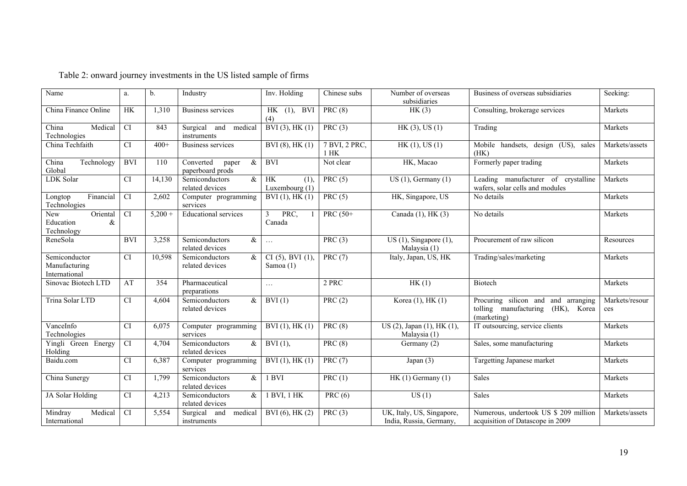| Name                                            | a.              | b.        | Industry                                       | $Inv.$ Holding                       | Chinese subs                | Number of overseas<br>subsidiaries                   | Business of overseas subsidiaries                                                       | Seeking:              |
|-------------------------------------------------|-----------------|-----------|------------------------------------------------|--------------------------------------|-----------------------------|------------------------------------------------------|-----------------------------------------------------------------------------------------|-----------------------|
| China Finance Online                            | HK              | 1,310     | <b>Business services</b>                       | $HK$ (1), BVI<br>(4)                 | PRC $(8)$                   | HK(3)                                                | Consulting, brokerage services                                                          | Markets               |
| Medical<br>China<br>Technologies                | $\overline{CI}$ | 843       | and medical<br>Surgical<br>instruments         | BVI(3), HK(1)                        | PRC(3)                      | HK(3), US(1)                                         | Trading                                                                                 | Markets               |
| China Techfaith                                 | <b>CI</b>       | $400+$    | Business services                              | BVI (8), HK (1)                      | 7 BVI, 2 PRC,<br>$1$ HK     | HK(1), US(1)                                         | Mobile handsets, design (US), sales<br>(HK)                                             | Markets/assets        |
| Technology<br>China<br>Global                   | <b>BVI</b>      | 110       | $\&$<br>Converted<br>paper<br>paperboard prods | <b>BVI</b>                           | Not clear                   | HK, Macao                                            | Formerly paper trading                                                                  | Markets               |
| LDK Solar                                       | <b>CI</b>       | 14,130    | Semiconductors<br>$\&$<br>related devices      | <b>HK</b><br>(1)<br>Luxembourg (1)   | PRC $(5)$                   | US $(1)$ , Germany $(1)$                             | Leading manufacturer of crystalline<br>wafers, solar cells and modules                  | Markets               |
| Financial<br>Longtop<br>Technologies            | <b>CI</b>       | 2,602     | Computer programming<br>services               | $BVI(1)$ , $HK(1)$                   | PRC $(5)$                   | HK, Singapore, US                                    | No details                                                                              | Markets               |
| New<br>Oriental<br>Education<br>&<br>Technology | $\overline{CI}$ | $5,200 +$ | <b>Educational services</b>                    | 3<br>PRC,<br>Canada                  | PRC (50+                    | Canada (1), HK (3)                                   | No details                                                                              | Markets               |
| ReneSola                                        | <b>BVI</b>      | 3,258     | Semiconductors<br>&<br>related devices         | $\ldots$                             | PRC $(3)$                   | $US(1)$ , Singapore $(1)$ ,<br>Malaysia (1)          | Procurement of raw silicon                                                              | Resources             |
| Semiconductor<br>Manufacturing<br>International | <b>CI</b>       | 10,598    | Semiconductors<br>&<br>related devices         | $CI(5)$ , BVI $(1)$ .<br>Samoa $(1)$ | PRC(7)                      | Italy, Japan, US, HK                                 | Trading/sales/marketing                                                                 | Markets               |
| Sinovac Biotech LTD                             | AT              | 354       | Pharmaceutical<br>preparations                 | $\ldots$                             | 2 PRC                       | HK(1)                                                | Biotech                                                                                 | Markets               |
| Trina Solar LTD                                 | <b>CI</b>       | 4,604     | Semiconductors<br>&<br>related devices         | BVI(1)                               | PRC $(2)$                   | Korea (1), HK (1)                                    | Procuring silicon and and arranging<br>tolling manufacturing (HK), Korea<br>(marketing) | Markets/resour<br>ces |
| VanceInfo<br>Technologies                       | <b>CI</b>       | 6,075     | Computer programming<br>services               | $BVI(1)$ , $HK(1)$                   | PRC(8)                      | US (2), Japan (1), HK (1),<br>Malaysia (1)           | IT outsourcing, service clients                                                         | Markets               |
| Yingli Green Energy<br>Holding                  | <b>CI</b>       | 4,704     | Semiconductors<br>&<br>related devices         | $BVI(1)$ ,                           | PRC(8)                      | Germany (2)                                          | Sales, some manufacturing                                                               | Markets               |
| Baidu.com                                       | <b>CI</b>       | 6,387     | Computer programming<br>services               | $BVI(1)$ , $HK(1)$                   | PRC $(7)$                   | Japan $(3)$                                          | Targetting Japanese market                                                              | Markets               |
| China Sunergy                                   | $\overline{CI}$ | 1,799     | &<br>Semiconductors<br>related devices         | 1 BVI                                | PRC $(1)$                   | HK $(1)$ Germany $(1)$                               | <b>Sales</b>                                                                            | Markets               |
| JA Solar Holding                                | CI              | 4,213     | $\&$<br>Semiconductors<br>related devices      | 1 BVI, 1 HK                          | PRC $(6)$                   | US(1)                                                | Sales                                                                                   | Markets               |
| Medical<br>Mindray<br>International             | <b>CI</b>       | 5,554     | medical<br>Surgical and<br>instruments         | $BVI(6)$ , HK $(2)$                  | $\overline{\text{PRC}}$ (3) | UK, Italy, US, Singapore,<br>India, Russia, Germany, | Numerous, undertook US \$ 209 million<br>acquisition of Datascope in 2009               | Markets/assets        |

# Table 2: onward journey investments in the US listed sample of firms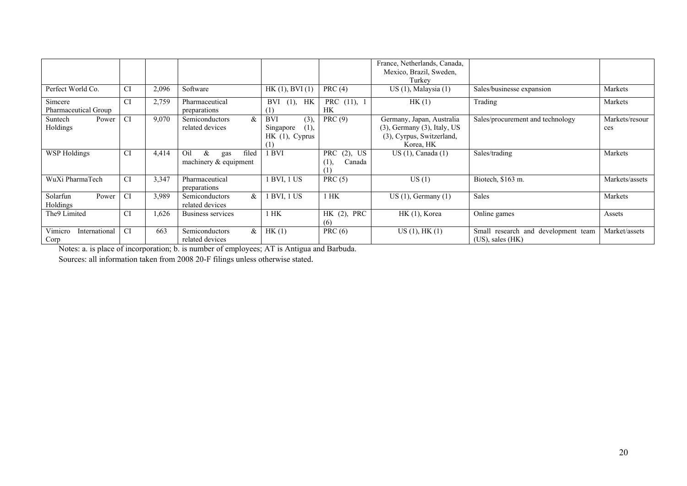|                                  |           |       |                                                     |                                                        |                                                  | France, Netherlands, Canada,<br>Mexico, Brazil, Sweden,<br>Turkey                                        |                                                              |                       |
|----------------------------------|-----------|-------|-----------------------------------------------------|--------------------------------------------------------|--------------------------------------------------|----------------------------------------------------------------------------------------------------------|--------------------------------------------------------------|-----------------------|
| Perfect World Co.                | CI        | 2,096 | Software                                            | HK(1), BVI(1)                                          | PRC(4)                                           | $US(1)$ , Malaysia $(1)$                                                                                 | Sales/businesse expansion                                    | Markets               |
| Simcere<br>Pharmaceutical Group  | <b>CI</b> | 2,759 | Pharmaceutical<br>preparations                      | $(1)$ , HK<br>BVI<br>(1)                               | PRC (11), 1<br><b>HK</b>                         | HK(1)                                                                                                    | Trading                                                      | Markets               |
| Suntech<br>Power<br>Holdings     | <b>CI</b> | 9,070 | &<br><b>Semiconductors</b><br>related devices       | <b>BVI</b><br>(3)<br>(1)<br>Singapore<br>HK(1), Cyprus | PRC(9)                                           | Germany, Japan, Australia<br>$(3)$ , Germany $(3)$ , Italy, US<br>(3), Cyrpus, Switzerland,<br>Korea, HK | Sales/procurement and technology                             | Markets/resour<br>ces |
| <b>WSP Holdings</b>              | <b>CI</b> | 4,414 | Oil<br>filed<br>&<br>gas<br>machinery $&$ equipment | <b>BVI</b>                                             | <b>PRC</b><br>$(2)$ , US<br>Canada<br>(1)<br>( I | $US(1)$ , Canada $(1)$                                                                                   | Sales/trading                                                | Markets               |
| WuXi PharmaTech                  | <b>CI</b> | 3,347 | Pharmaceutical<br>preparations                      | 1 BVI, 1 US                                            | PRC(5)                                           | US(1)                                                                                                    | Biotech, \$163 m.                                            | Markets/assets        |
| Solarfun<br>Power<br>Holdings    | <b>CI</b> | 3,989 | $\&$<br><b>Semiconductors</b><br>related devices    | <b>BVI, 1 US</b>                                       | $1$ HK                                           | $US(1)$ , Germany $(1)$                                                                                  | <b>Sales</b>                                                 | Markets               |
| The9 Limited                     | <b>CI</b> | 1,626 | Business services                                   | $1$ HK                                                 | $HK$ (2), PRC<br>(6)                             | $HK(1)$ , Korea                                                                                          | Online games                                                 | Assets                |
| Vimicro<br>International<br>Corp | <b>CI</b> | 663   | Semiconductors<br>$\&$<br>related devices           | HK(1)                                                  | PRC $(6)$                                        | $US(1)$ , $HK(1)$                                                                                        | Small research and development team<br>$(US)$ , sales $(HK)$ | Market/assets         |

Corp Notes: a. is place of incorporation; b. is number of employees; AT is Antigua and Barbuda.

Sources: all information taken from 2008 20-F filings unless otherwise stated.